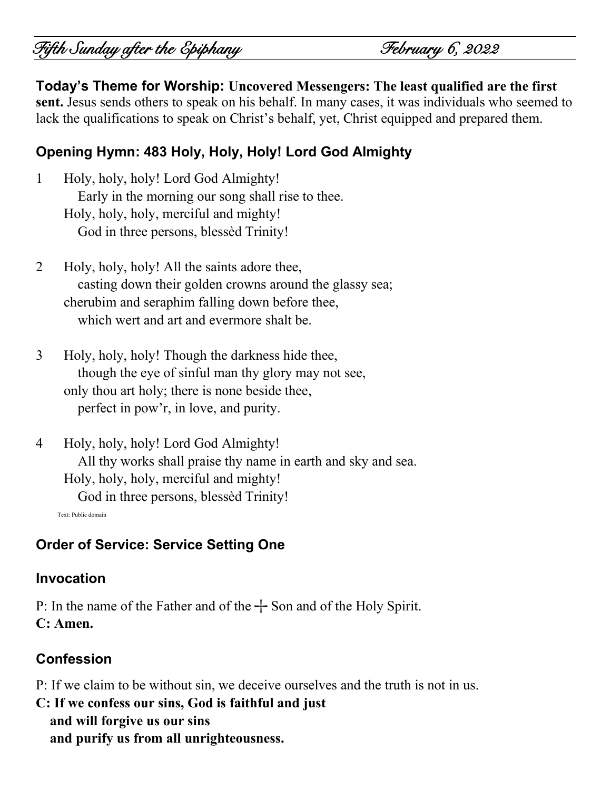# Fifth Sunday after the Epiphany February 6, 2022

**Today's Theme for Worship: Uncovered Messengers: The least qualified are the first sent.** Jesus sends others to speak on his behalf. In many cases, it was individuals who seemed to lack the qualifications to speak on Christ's behalf, yet, Christ equipped and prepared them.

# **Opening Hymn: 483 Holy, Holy, Holy! Lord God Almighty**

- 1 Holy, holy, holy! Lord God Almighty! Early in the morning our song shall rise to thee. Holy, holy, holy, merciful and mighty! God in three persons, blessèd Trinity!
- 2 Holy, holy, holy! All the saints adore thee, casting down their golden crowns around the glassy sea; cherubim and seraphim falling down before thee, which wert and art and evermore shalt be.
- 3 Holy, holy, holy! Though the darkness hide thee, though the eye of sinful man thy glory may not see, only thou art holy; there is none beside thee, perfect in pow'r, in love, and purity.
- 4 Holy, holy, holy! Lord God Almighty! All thy works shall praise thy name in earth and sky and sea. Holy, holy, holy, merciful and mighty! God in three persons, blessèd Trinity! Text: Public domain

**Order of Service: Service Setting One**

#### **Invocation**

P: In the name of the Father and of the  $+$  Son and of the Holy Spirit. **C: Amen.**

## **Confession**

- P: If we claim to be without sin, we deceive ourselves and the truth is not in us.
- **C: If we confess our sins, God is faithful and just and will forgive us our sins and purify us from all unrighteousness.**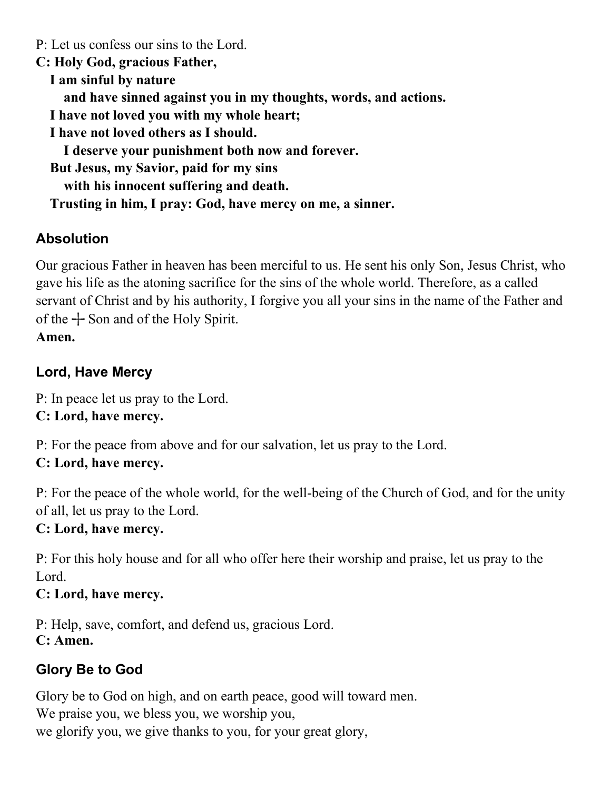P: Let us confess our sins to the Lord. **C: Holy God, gracious Father, I am sinful by nature and have sinned against you in my thoughts, words, and actions. I have not loved you with my whole heart; I have not loved others as I should. I deserve your punishment both now and forever. But Jesus, my Savior, paid for my sins with his innocent suffering and death. Trusting in him, I pray: God, have mercy on me, a sinner.**

# **Absolution**

Our gracious Father in heaven has been merciful to us. He sent his only Son, Jesus Christ, who gave his life as the atoning sacrifice for the sins of the whole world. Therefore, as a called servant of Christ and by his authority, I forgive you all your sins in the name of the Father and of the  $+$  Son and of the Holy Spirit. **Amen.**

# **Lord, Have Mercy**

P: In peace let us pray to the Lord. **C: Lord, have mercy.**

P: For the peace from above and for our salvation, let us pray to the Lord. **C: Lord, have mercy.**

P: For the peace of the whole world, for the well-being of the Church of God, and for the unity of all, let us pray to the Lord.

# **C: Lord, have mercy.**

P: For this holy house and for all who offer here their worship and praise, let us pray to the Lord.

# **C: Lord, have mercy.**

P: Help, save, comfort, and defend us, gracious Lord. **C: Amen.**

# **Glory Be to God**

Glory be to God on high, and on earth peace, good will toward men. We praise you, we bless you, we worship you, we glorify you, we give thanks to you, for your great glory,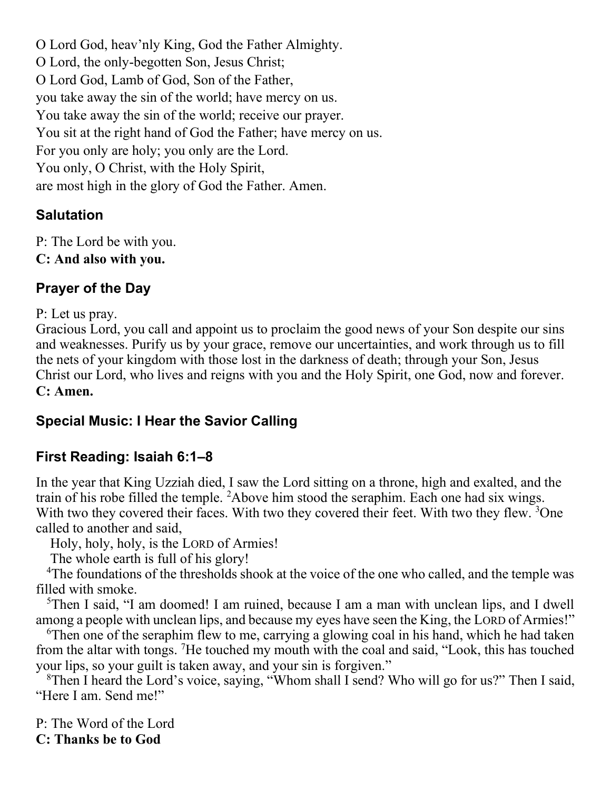O Lord God, heav'nly King, God the Father Almighty. O Lord, the only-begotten Son, Jesus Christ; O Lord God, Lamb of God, Son of the Father, you take away the sin of the world; have mercy on us. You take away the sin of the world; receive our prayer. You sit at the right hand of God the Father; have mercy on us. For you only are holy; you only are the Lord. You only, O Christ, with the Holy Spirit, are most high in the glory of God the Father. Amen.

## **Salutation**

P: The Lord be with you.

# **C: And also with you.**

# **Prayer of the Day**

P: Let us pray.

Gracious Lord, you call and appoint us to proclaim the good news of your Son despite our sins and weaknesses. Purify us by your grace, remove our uncertainties, and work through us to fill the nets of your kingdom with those lost in the darkness of death; through your Son, Jesus Christ our Lord, who lives and reigns with you and the Holy Spirit, one God, now and forever. **C: Amen.**

# **Special Music: I Hear the Savior Calling**

# **First Reading: Isaiah 6:1–8**

In the year that King Uzziah died, I saw the Lord sitting on a throne, high and exalted, and the train of his robe filled the temple. <sup>2</sup>Above him stood the seraphim. Each one had six wings. With two they covered their faces. With two they covered their feet. With two they flew.  $3$ One called to another and said,

Holy, holy, holy, is the LORD of Armies!

The whole earth is full of his glory!

<sup>4</sup>The foundations of the thresholds shook at the voice of the one who called, and the temple was filled with smoke.

<sup>5</sup>Then I said, "I am doomed! I am ruined, because I am a man with unclean lips, and I dwell among a people with unclean lips, and because my eyes have seen the King, the LORD of Armies!"

<sup>6</sup>Then one of the seraphim flew to me, carrying a glowing coal in his hand, which he had taken from the altar with tongs. <sup>7</sup>He touched my mouth with the coal and said, "Look, this has touched your lips, so your guilt is taken away, and your sin is forgiven."

<sup>8</sup>Then I heard the Lord's voice, saying, "Whom shall I send? Who will go for us?" Then I said, "Here I am. Send me!"

P: The Word of the Lord **C: Thanks be to God**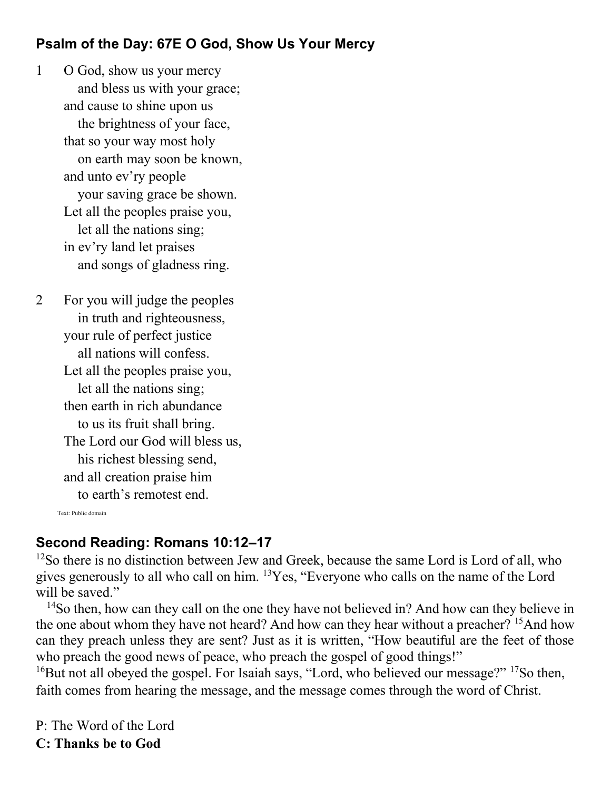## **Psalm of the Day: 67E O God, Show Us Your Mercy**

1 O God, show us your mercy and bless us with your grace; and cause to shine upon us the brightness of your face, that so your way most holy on earth may soon be known, and unto ev'ry people your saving grace be shown. Let all the peoples praise you, let all the nations sing; in ev'ry land let praises and songs of gladness ring.

2 For you will judge the peoples in truth and righteousness, your rule of perfect justice all nations will confess. Let all the peoples praise you, let all the nations sing; then earth in rich abundance to us its fruit shall bring. The Lord our God will bless us, his richest blessing send, and all creation praise him to earth's remotest end.

Text: Public domain

## **Second Reading: Romans 10:12–17**

<sup>12</sup>So there is no distinction between Jew and Greek, because the same Lord is Lord of all, who gives generously to all who call on him. <sup>13</sup>Yes, "Everyone who calls on the name of the Lord will be saved."

<sup>14</sup>So then, how can they call on the one they have not believed in? And how can they believe in the one about whom they have not heard? And how can they hear without a preacher? <sup>15</sup>And how can they preach unless they are sent? Just as it is written, "How beautiful are the feet of those who preach the good news of peace, who preach the gospel of good things!"

<sup>16</sup>But not all obeyed the gospel. For Isaiah says, "Lord, who believed our message?" <sup>17</sup>So then, faith comes from hearing the message, and the message comes through the word of Christ.

P: The Word of the Lord **C: Thanks be to God**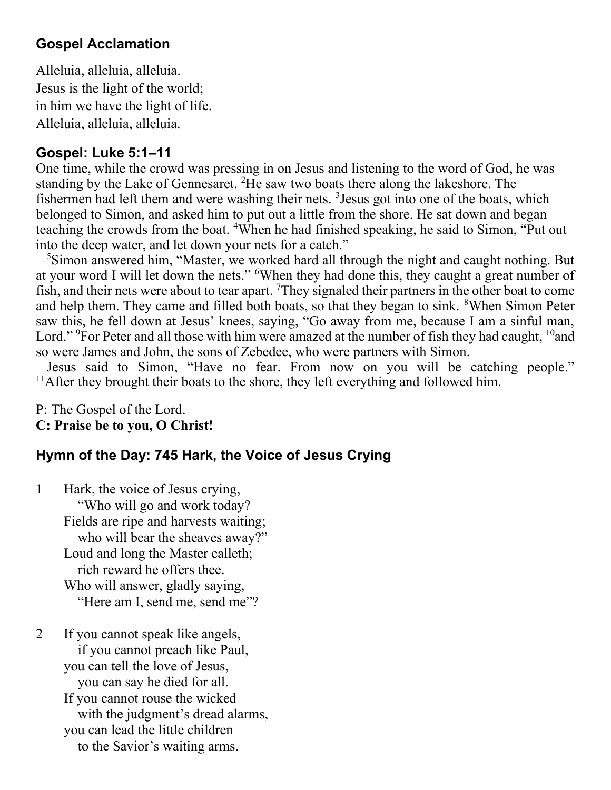### **Gospel Acclamation**

Alleluia, alleluia, alleluia. Jesus is the light of the world; in him we have the light of life. Alleluia, alleluia, alleluia.

### **Gospel: Luke 5:1–11**

One time, while the crowd was pressing in on Jesus and listening to the word of God, he was standing by the Lake of Gennesaret. <sup>2</sup>He saw two boats there along the lakeshore. The fishermen had left them and were washing their nets. <sup>3</sup> Jesus got into one of the boats, which belonged to Simon, and asked him to put out a little from the shore. He sat down and began teaching the crowds from the boat. <sup>4</sup>When he had finished speaking, he said to Simon, "Put out into the deep water, and let down your nets for a catch."

<sup>5</sup>Simon answered him, "Master, we worked hard all through the night and caught nothing. But at your word I will let down the nets." <sup>6</sup>When they had done this, they caught a great number of fish, and their nets were about to tear apart. <sup>7</sup>They signaled their partners in the other boat to come and help them. They came and filled both boats, so that they began to sink. <sup>8</sup>When Simon Peter saw this, he fell down at Jesus' knees, saying, "Go away from me, because I am a sinful man, Lord." <sup>9</sup>For Peter and all those with him were amazed at the number of fish they had caught, <sup>10</sup>and so were James and John, the sons of Zebedee, who were partners with Simon.

Jesus said to Simon, "Have no fear. From now on you will be catching people." <sup>11</sup>After they brought their boats to the shore, they left everything and followed him.

P: The Gospel of the Lord. **C: Praise be to you, O Christ!** 

## **Hymn of the Day: 745 Hark, the Voice of Jesus Crying**

1 Hark, the voice of Jesus crying, "Who will go and work today? Fields are ripe and harvests waiting; who will bear the sheaves away?" Loud and long the Master calleth; rich reward he offers thee. Who will answer, gladly saying, "Here am I, send me, send me"?

2 If you cannot speak like angels, if you cannot preach like Paul, you can tell the love of Jesus, you can say he died for all. If you cannot rouse the wicked with the judgment's dread alarms, you can lead the little children to the Savior's waiting arms.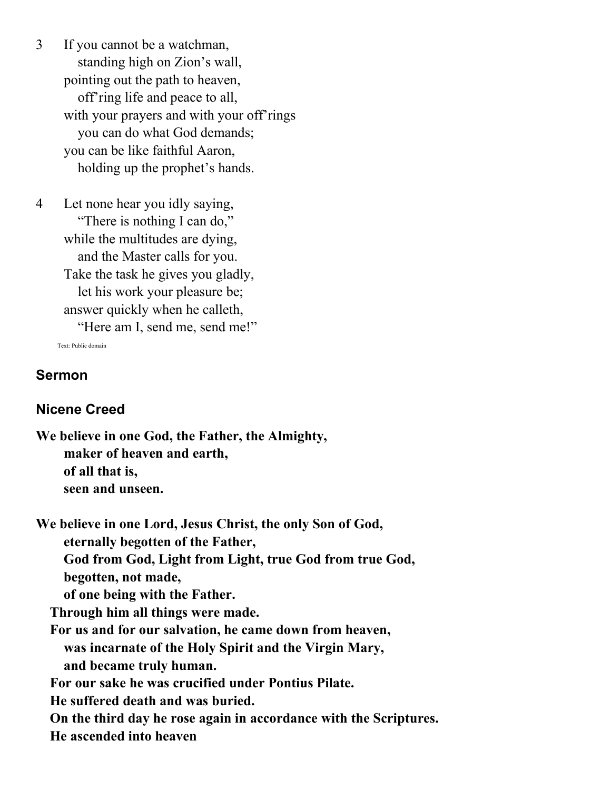3 If you cannot be a watchman, standing high on Zion's wall, pointing out the path to heaven, off'ring life and peace to all, with your prayers and with your off'rings you can do what God demands; you can be like faithful Aaron, holding up the prophet's hands.

4 Let none hear you idly saying, "There is nothing I can do," while the multitudes are dying, and the Master calls for you. Take the task he gives you gladly, let his work your pleasure be; answer quickly when he calleth, "Here am I, send me, send me!"

Text: Public domain

#### **Sermon**

#### **Nicene Creed**

**We believe in one God, the Father, the Almighty, maker of heaven and earth, of all that is, seen and unseen.**

**We believe in one Lord, Jesus Christ, the only Son of God, eternally begotten of the Father, God from God, Light from Light, true God from true God, begotten, not made, of one being with the Father. Through him all things were made. For us and for our salvation, he came down from heaven, was incarnate of the Holy Spirit and the Virgin Mary, and became truly human. For our sake he was crucified under Pontius Pilate. He suffered death and was buried. On the third day he rose again in accordance with the Scriptures.**

 **He ascended into heaven**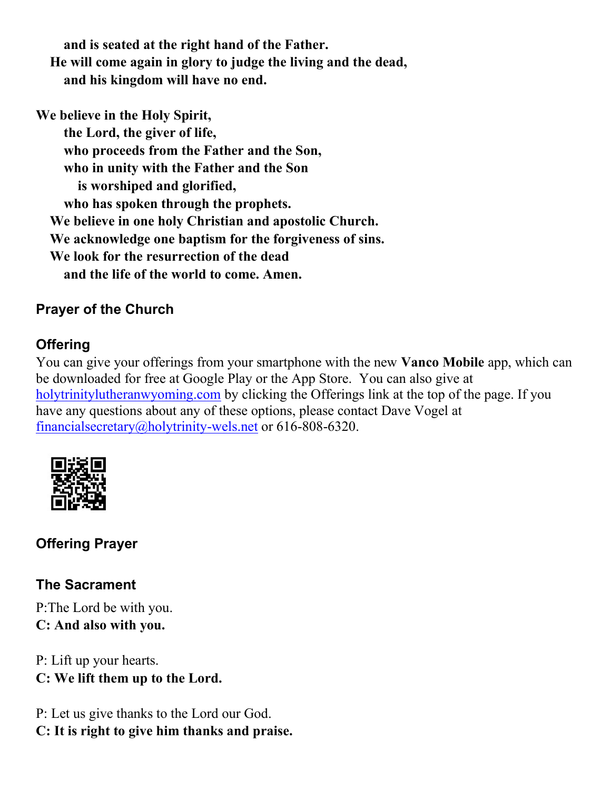**and is seated at the right hand of the Father. He will come again in glory to judge the living and the dead, and his kingdom will have no end.**

**We believe in the Holy Spirit,**

 **the Lord, the giver of life, who proceeds from the Father and the Son, who in unity with the Father and the Son is worshiped and glorified, who has spoken through the prophets. We believe in one holy Christian and apostolic Church. We acknowledge one baptism for the forgiveness of sins. We look for the resurrection of the dead and the life of the world to come. Amen.**

# **Prayer of the Church**

# **Offering**

You can give your offerings from your smartphone with the new **Vanco Mobile** app, which can be downloaded for free at Google Play or the App Store. You can also give at [holytrinitylutheranwyoming.com](http://holytrinitylutheranwyoming.com/) by clicking the Offerings link at the top of the page. If you have any questions about any of these options, please contact Dave Vogel at [financialsecretary@holytrinity-wels.net](mailto:financialsecretary@holytrinity-wels.net) or 616-808-6320.



# **Offering Prayer**

# **The Sacrament**

P:The Lord be with you. **C: And also with you.**

P: Lift up your hearts. **C: We lift them up to the Lord.**

P: Let us give thanks to the Lord our God. **C: It is right to give him thanks and praise.**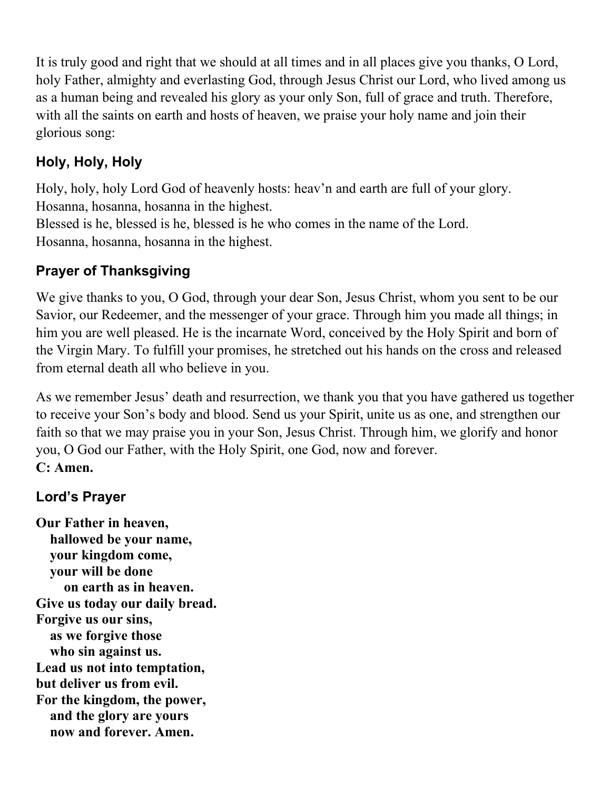It is truly good and right that we should at all times and in all places give you thanks, O Lord, holy Father, almighty and everlasting God, through Jesus Christ our Lord, who lived among us as a human being and revealed his glory as your only Son, full of grace and truth. Therefore, with all the saints on earth and hosts of heaven, we praise your holy name and join their glorious song:

# **Holy, Holy, Holy**

Holy, holy, holy Lord God of heavenly hosts: heav'n and earth are full of your glory. Hosanna, hosanna, hosanna in the highest.

Blessed is he, blessed is he, blessed is he who comes in the name of the Lord. Hosanna, hosanna, hosanna in the highest.

# **Prayer of Thanksgiving**

We give thanks to you, O God, through your dear Son, Jesus Christ, whom you sent to be our Savior, our Redeemer, and the messenger of your grace. Through him you made all things; in him you are well pleased. He is the incarnate Word, conceived by the Holy Spirit and born of the Virgin Mary. To fulfill your promises, he stretched out his hands on the cross and released from eternal death all who believe in you.

As we remember Jesus' death and resurrection, we thank you that you have gathered us together to receive your Son's body and blood. Send us your Spirit, unite us as one, and strengthen our faith so that we may praise you in your Son, Jesus Christ. Through him, we glorify and honor you, O God our Father, with the Holy Spirit, one God, now and forever. **C: Amen.**

# **Lord's Prayer**

**Our Father in heaven, hallowed be your name, your kingdom come, your will be done on earth as in heaven. Give us today our daily bread. Forgive us our sins, as we forgive those who sin against us. Lead us not into temptation, but deliver us from evil. For the kingdom, the power, and the glory are yours now and forever. Amen.**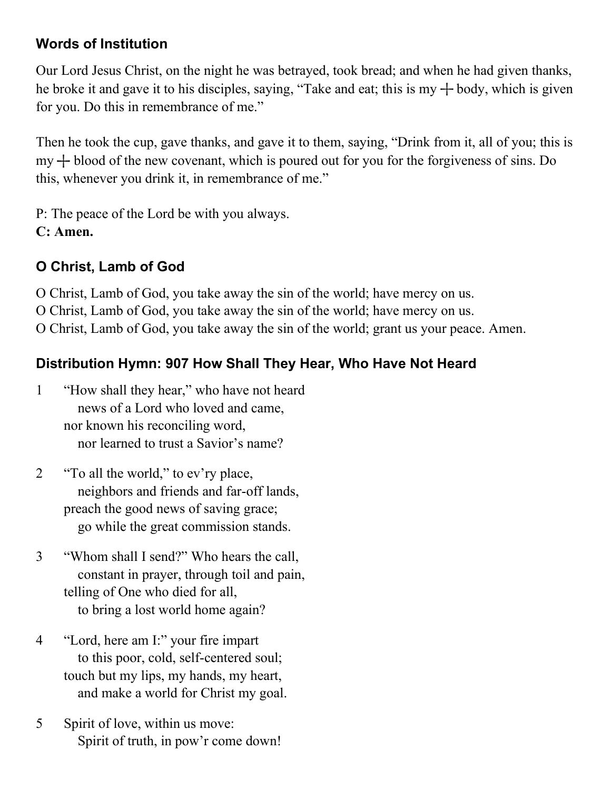## **Words of Institution**

Our Lord Jesus Christ, on the night he was betrayed, took bread; and when he had given thanks, he broke it and gave it to his disciples, saying, "Take and eat; this is my  $+$  body, which is given for you. Do this in remembrance of me."

Then he took the cup, gave thanks, and gave it to them, saying, "Drink from it, all of you; this is  $my + blood of the new covenant, which is poured out for you for the for giveness of sins. Do$ this, whenever you drink it, in remembrance of me."

P: The peace of the Lord be with you always. **C: Amen.**

# **O Christ, Lamb of God**

O Christ, Lamb of God, you take away the sin of the world; have mercy on us. O Christ, Lamb of God, you take away the sin of the world; have mercy on us. O Christ, Lamb of God, you take away the sin of the world; grant us your peace. Amen.

# **Distribution Hymn: 907 How Shall They Hear, Who Have Not Heard**

- 1 "How shall they hear," who have not heard news of a Lord who loved and came, nor known his reconciling word, nor learned to trust a Savior's name?
- 2 "To all the world," to ev'ry place, neighbors and friends and far-off lands, preach the good news of saving grace; go while the great commission stands.
- 3 "Whom shall I send?" Who hears the call, constant in prayer, through toil and pain, telling of One who died for all, to bring a lost world home again?
- 4 "Lord, here am I:" your fire impart to this poor, cold, self-centered soul; touch but my lips, my hands, my heart, and make a world for Christ my goal.
- 5 Spirit of love, within us move: Spirit of truth, in pow'r come down!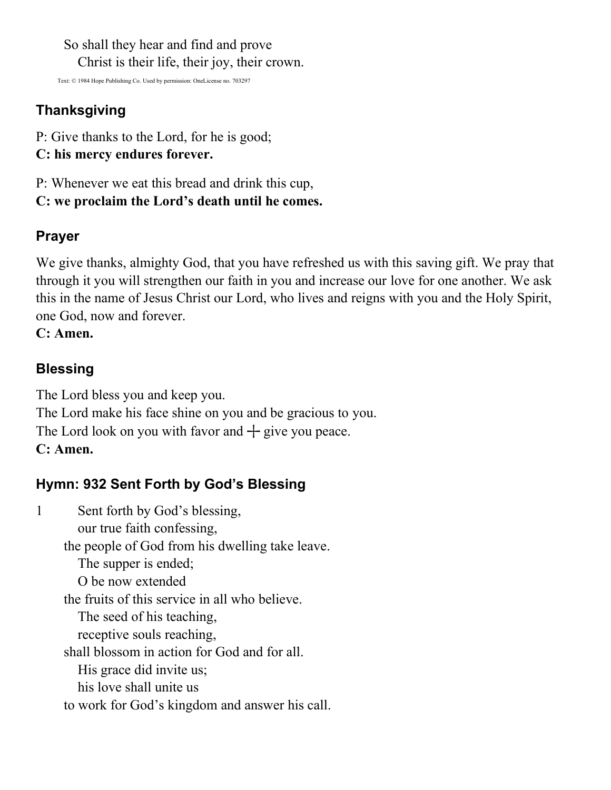So shall they hear and find and prove Christ is their life, their joy, their crown.

Text: © 1984 Hope Publishing Co. Used by permission: OneLicense no. 703297

# **Thanksgiving**

- P: Give thanks to the Lord, for he is good;
- **C: his mercy endures forever.**
- P: Whenever we eat this bread and drink this cup,
- **C: we proclaim the Lord's death until he comes.**

## **Prayer**

We give thanks, almighty God, that you have refreshed us with this saving gift. We pray that through it you will strengthen our faith in you and increase our love for one another. We ask this in the name of Jesus Christ our Lord, who lives and reigns with you and the Holy Spirit, one God, now and forever.

#### **C: Amen.**

## **Blessing**

The Lord bless you and keep you. The Lord make his face shine on you and be gracious to you. The Lord look on you with favor and  $+$  give you peace. **C: Amen.**

# **Hymn: 932 Sent Forth by God's Blessing**

1 Sent forth by God's blessing, our true faith confessing, the people of God from his dwelling take leave. The supper is ended; O be now extended the fruits of this service in all who believe. The seed of his teaching, receptive souls reaching, shall blossom in action for God and for all. His grace did invite us; his love shall unite us to work for God's kingdom and answer his call.